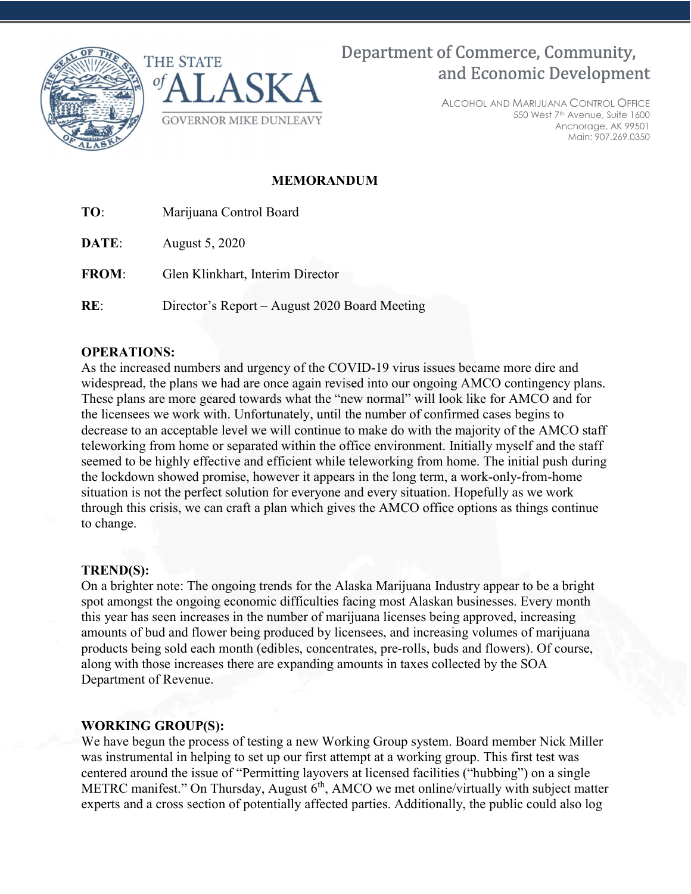



# Department of Commerce, Community, and Economic Development

ALCOHOL AND MARIJUANA CONTROL OFFICE 550 West 7th Avenue, Suite 1600 Anchorage, AK 99501 Main: 907.269.0350

## MEMORANDUM

| TO: |  | Marijuana Control Board |
|-----|--|-------------------------|
|-----|--|-------------------------|

DATE: August 5, 2020

FROM: Glen Klinkhart, Interim Director

RE: Director's Report – August 2020 Board Meeting

## OPERATIONS:

As the increased numbers and urgency of the COVID-19 virus issues became more dire and widespread, the plans we had are once again revised into our ongoing AMCO contingency plans. These plans are more geared towards what the "new normal" will look like for AMCO and for the licensees we work with. Unfortunately, until the number of confirmed cases begins to decrease to an acceptable level we will continue to make do with the majority of the AMCO staff teleworking from home or separated within the office environment. Initially myself and the staff seemed to be highly effective and efficient while teleworking from home. The initial push during the lockdown showed promise, however it appears in the long term, a work-only-from-home situation is not the perfect solution for everyone and every situation. Hopefully as we work through this crisis, we can craft a plan which gives the AMCO office options as things continue to change.

#### TREND(S):

On a brighter note: The ongoing trends for the Alaska Marijuana Industry appear to be a bright spot amongst the ongoing economic difficulties facing most Alaskan businesses. Every month this year has seen increases in the number of marijuana licenses being approved, increasing amounts of bud and flower being produced by licensees, and increasing volumes of marijuana products being sold each month (edibles, concentrates, pre-rolls, buds and flowers). Of course, along with those increases there are expanding amounts in taxes collected by the SOA Department of Revenue.

## WORKING GROUP(S):

We have begun the process of testing a new Working Group system. Board member Nick Miller was instrumental in helping to set up our first attempt at a working group. This first test was centered around the issue of "Permitting layovers at licensed facilities ("hubbing") on a single METRC manifest." On Thursday, August  $6<sup>th</sup>$ , AMCO we met online/virtually with subject matter experts and a cross section of potentially affected parties. Additionally, the public could also log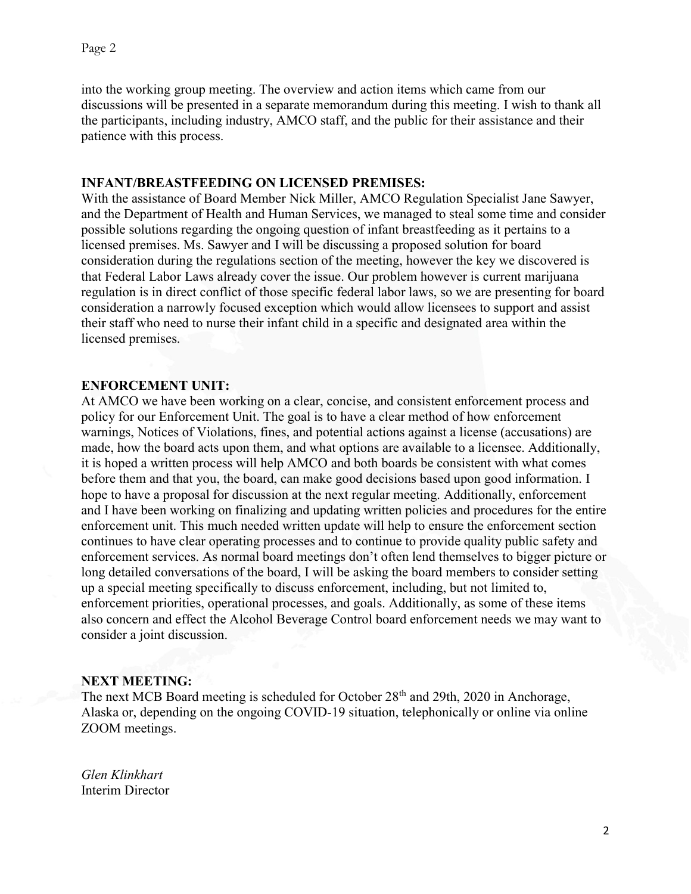into the working group meeting. The overview and action items which came from our discussions will be presented in a separate memorandum during this meeting. I wish to thank all the participants, including industry, AMCO staff, and the public for their assistance and their patience with this process.

### INFANT/BREASTFEEDING ON LICENSED PREMIS**E**S:

With the assistance of Board Member Nick Miller, AMCO Regulation Specialist Jane Sawyer, and the Department of Health and Human Services, we managed to steal some time and consider possible solutions regarding the ongoing question of infant breastfeeding as it pertains to a licensed premises. Ms. Sawyer and I will be discussing a proposed solution for board consideration during the regulations section of the meeting, however the key we discovered is that Federal Labor Laws already cover the issue. Our problem however is current marijuana regulation is in direct conflict of those specific federal labor laws, so we are presenting for board consideration a narrowly focused exception which would allow licensees to support and assist their staff who need to nurse their infant child in a specific and designated area within the licensed premises.

#### ENFORCEMENT UNIT:

At AMCO we have been working on a clear, concise, and consistent enforcement process and policy for our Enforcement Unit. The goal is to have a clear method of how enforcement warnings, Notices of Violations, fines, and potential actions against a license (accusations) are made, how the board acts upon them, and what options are available to a licensee. Additionally, it is hoped a written process will help AMCO and both boards be consistent with what comes before them and that you, the board, can make good decisions based upon good information. I hope to have a proposal for discussion at the next regular meeting. Additionally, enforcement and I have been working on finalizing and updating written policies and procedures for the entire enforcement unit. This much needed written update will help to ensure the enforcement section continues to have clear operating processes and to continue to provide quality public safety and enforcement services. As normal board meetings don't often lend themselves to bigger picture or long detailed conversations of the board, I will be asking the board members to consider setting up a special meeting specifically to discuss enforcement, including, but not limited to, enforcement priorities, operational processes, and goals. Additionally, as some of these items also concern and effect the Alcohol Beverage Control board enforcement needs we may want to consider a joint discussion.

#### NEXT MEETING:

The next MCB Board meeting is scheduled for October 28<sup>th</sup> and 29th, 2020 in Anchorage, Alaska or, depending on the ongoing COVID-19 situation, telephonically or online via online ZOOM meetings.

Glen Klinkhart Interim Director